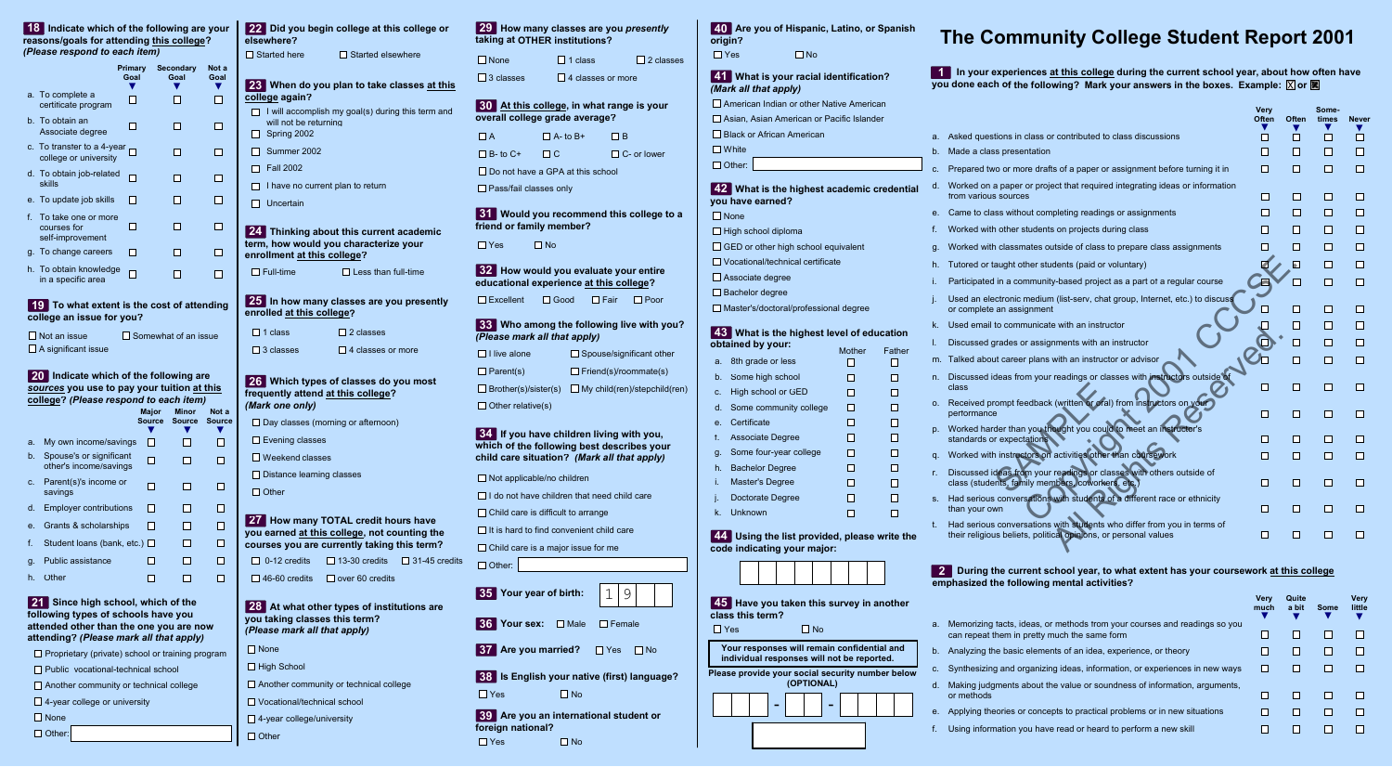# **The Community College Student Report 2001**

 **In your experiences at this college during the current school year, about how often have 1 you done each of the following? Mark your answers in the boxes. Example:**  $\boxed{\mathbb{X}}$  **or**  $\boxed{\mathbb{X}}$ 

| Asked questions in class or contributed to class discussions<br>П<br>a.<br>Made a class presentation<br>П<br>b.<br>Prepared two or more drafts of a paper or assignment before turning it in<br>П<br>C.<br>Worked on a paper or project that required integrating ideas or information<br>d.<br>from various sources<br>П<br>Came to class without completing readings or assignments<br>П<br>е.<br>f.<br>Worked with other students on projects during class<br>П | <b>TI</b><br>П | П<br>П       | П  |
|--------------------------------------------------------------------------------------------------------------------------------------------------------------------------------------------------------------------------------------------------------------------------------------------------------------------------------------------------------------------------------------------------------------------------------------------------------------------|----------------|--------------|----|
|                                                                                                                                                                                                                                                                                                                                                                                                                                                                    |                |              |    |
|                                                                                                                                                                                                                                                                                                                                                                                                                                                                    |                |              |    |
|                                                                                                                                                                                                                                                                                                                                                                                                                                                                    |                | п            | П  |
|                                                                                                                                                                                                                                                                                                                                                                                                                                                                    | I.             | п            | Ш  |
|                                                                                                                                                                                                                                                                                                                                                                                                                                                                    | П              | П            | H  |
|                                                                                                                                                                                                                                                                                                                                                                                                                                                                    |                | П            | □  |
| Worked with classmates outside of class to prepare class assignments<br>g.                                                                                                                                                                                                                                                                                                                                                                                         |                | П            | П  |
| Tutored or taught other students (paid or voluntary)<br>h.                                                                                                                                                                                                                                                                                                                                                                                                         | $\blacksquare$ | П            | П  |
| Participated in a community-based project as a part of a regular course<br>i.                                                                                                                                                                                                                                                                                                                                                                                      | □              | П            | П  |
| Used an electronic medium (list-serv, chat group, Internet, etc.) to discuss<br>j.<br>or complete an assignment                                                                                                                                                                                                                                                                                                                                                    |                | П            | ΙI |
| Used email to communicate with an instructor<br>k.                                                                                                                                                                                                                                                                                                                                                                                                                 |                | П            | □  |
| Discussed grades or assignments with an instructor<br>I.                                                                                                                                                                                                                                                                                                                                                                                                           |                | П            | П  |
| Talked about career plans with an instructor or advisor<br>m.                                                                                                                                                                                                                                                                                                                                                                                                      | П              | П            | П  |
| Discussed ideas from your readings or classes with instructors outside of<br>n.<br>class<br>$\blacksquare$                                                                                                                                                                                                                                                                                                                                                         | H              | I I          | H  |
| Received prompt feedback (written or oral) from instructors on your<br>0.<br>performance<br>$\Box$                                                                                                                                                                                                                                                                                                                                                                 | LТ             | П            | □  |
| Worked harder than you thought you could to meet an instructor's<br>p.<br>standards or expectations<br>П                                                                                                                                                                                                                                                                                                                                                           | m              | П            | п  |
| Worked with instructors on activities other than coursework<br>П<br>q.                                                                                                                                                                                                                                                                                                                                                                                             | m              | П            | П  |
| Discussed ideas from your readings or classes with others outside of<br>r.<br>class (students, family members, coworkers, etc.)<br>H                                                                                                                                                                                                                                                                                                                               | H              | ш            | H  |
| Had serious conversations with students of a different race or ethnicity<br>$S_{-}$<br>П<br>than your own                                                                                                                                                                                                                                                                                                                                                          | I.             | П            | П  |
| Had serious conversations with students who differ from you in terms of<br>t.<br>their religious beliefs, political opinions, or personal values<br>П                                                                                                                                                                                                                                                                                                              |                | $\mathbf{r}$ | Ш  |

### **During the current school year, to what extent has your coursework at this college 2 emphasized the following mental activities?**

|              |                                                                                                                           | <b>Verv</b><br>much | Quite<br>a bit | <b>Some</b> | <b>Very</b><br>little |
|--------------|---------------------------------------------------------------------------------------------------------------------------|---------------------|----------------|-------------|-----------------------|
| a.           | Memorizing facts, ideas, or methods from your courses and readings so you<br>can repeat them in pretty much the same form |                     |                |             |                       |
| b.           | Analyzing the basic elements of an idea, experience, or theory                                                            |                     |                |             |                       |
| $C_{\rm{r}}$ | Synthesizing and organizing ideas, information, or experiences in new ways                                                |                     |                |             |                       |
| d.           | Making judgments about the value or soundness of information, arguments,<br>or methods                                    |                     |                |             |                       |
| е.           | Applying theories or concepts to practical problems or in new situations                                                  |                     |                |             |                       |
| f.           | Using information you have read or heard to perform a new skill                                                           |                     |                |             |                       |
|              |                                                                                                                           |                     |                |             |                       |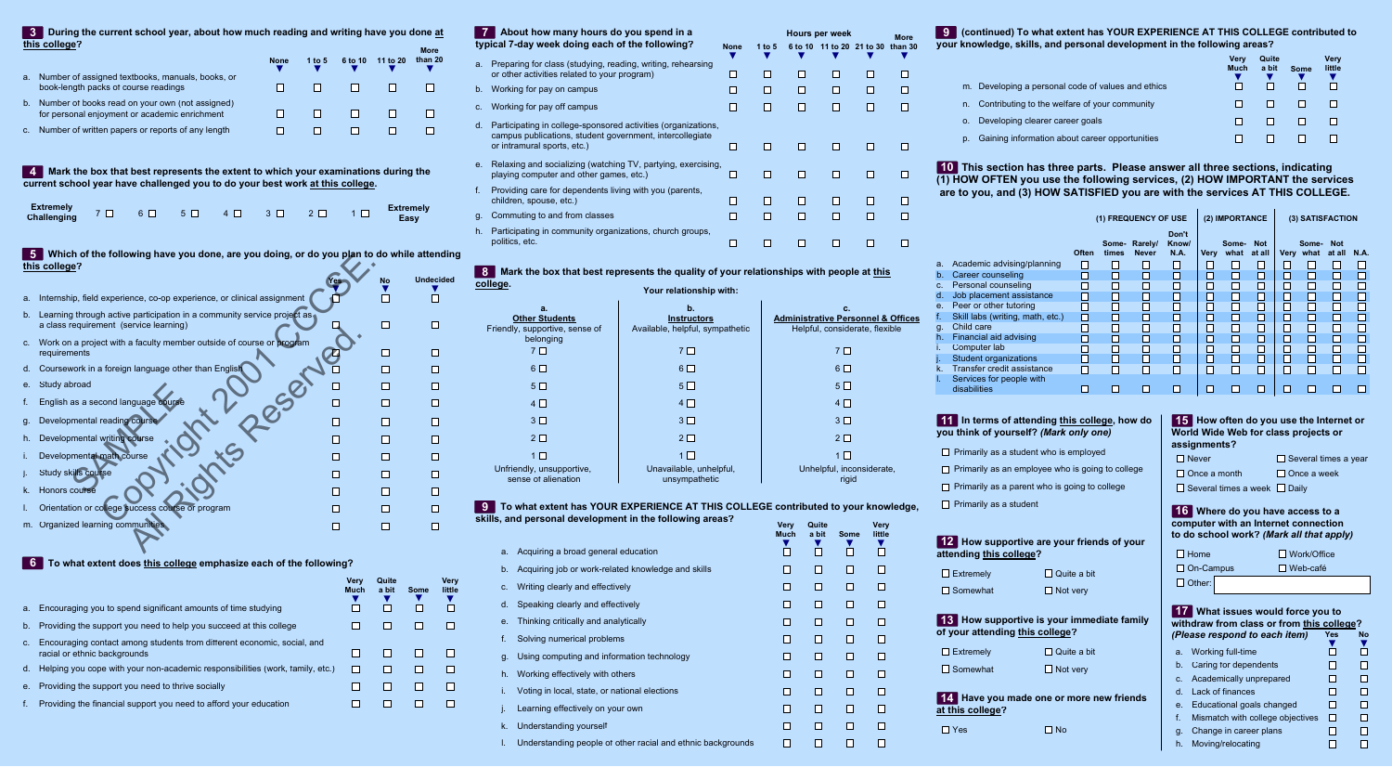#### **During the current school year, about how much reading and writing have you done at this college? 3**

|             | .                                                                                                | <b>None</b> | 1 to 5 | 6 to 10 | 11 to 20 | <b>More</b><br>than 20 |
|-------------|--------------------------------------------------------------------------------------------------|-------------|--------|---------|----------|------------------------|
| a.          | Number of assigned textbooks, manuals, books, or<br>book-length packs of course readings         |             |        |         |          |                        |
| $b_{\perp}$ | Number of books read on your own (not assigned)<br>for personal enjoyment or academic enrichment |             |        |         |          |                        |
|             | c. Number of written papers or reports of any length                                             |             |        |         |          |                        |

 **Mark the box that best represents the extent to which your examinations during the 4 current school year have challenged you to do your best work at this college.**

| Extremely $7 \Box 6 \Box 5 \Box 4 \Box 3 \Box 2 \Box 1 \Box$ Extremely<br>Challenging $7 \Box 6 \Box 5 \Box 4 \Box 3 \Box 2 \Box 1 \Box$ Easy |  |  |  |  |  |  |  |  |
|-----------------------------------------------------------------------------------------------------------------------------------------------|--|--|--|--|--|--|--|--|
|-----------------------------------------------------------------------------------------------------------------------------------------------|--|--|--|--|--|--|--|--|

# **Which of the following have you done, are you doing, or do you plan to do while attending 5 this college?**

|             | which of the following have you done, are you doing, or do you plan to do while attending<br>this college?        |     |           |                  |
|-------------|-------------------------------------------------------------------------------------------------------------------|-----|-----------|------------------|
|             |                                                                                                                   | Yes | <b>No</b> | <b>Undecided</b> |
| a.          | Internship, field experience, co-op experience, or clinical assignment                                            |     |           |                  |
| $b_{\cdot}$ | Learning through active participation in a community service project as<br>a class requirement (service learning) |     |           |                  |
| C.          | Work on a project with a faculty member outside of course or program<br>requirements                              |     |           |                  |
| d.          | Coursework in a foreign language other than English                                                               |     |           |                  |
| е.          | Study abroad                                                                                                      |     |           |                  |
| f.          | English as a second language course                                                                               |     |           |                  |
| g.          | Developmental reading course                                                                                      |     |           |                  |
| h.          | Developmental writing course                                                                                      |     |           |                  |
| i.          | Developmental math course                                                                                         |     |           |                  |
| J.          | Study skills course                                                                                               |     |           |                  |
| k.          | Honors course                                                                                                     |     |           |                  |
| ı.          | Orientation or college success course or program                                                                  |     |           |                  |
| m.          | Organized learning communities                                                                                    |     |           |                  |

## **6 To what extent does this college emphasize each of the following?**

|    |                                                                                                         | Verv<br><b>Much</b> | Quite<br>a bit | Some | Very<br>little |
|----|---------------------------------------------------------------------------------------------------------|---------------------|----------------|------|----------------|
|    | a. Encouraging you to spend significant amounts of time studying                                        |                     |                |      |                |
|    | b. Providing the support you need to help you succeed at this college                                   |                     |                |      |                |
| C. | Encouraging contact among students from different economic, social, and<br>racial or ethnic backgrounds |                     |                |      |                |
|    | d. Helping you cope with your non-academic responsibilities (work, family, etc.)                        |                     |                |      |                |
|    | e. Providing the support you need to thrive socially                                                    |                     |                |      |                |
|    | Providing the financial support you need to afford your education                                       |                     |                |      |                |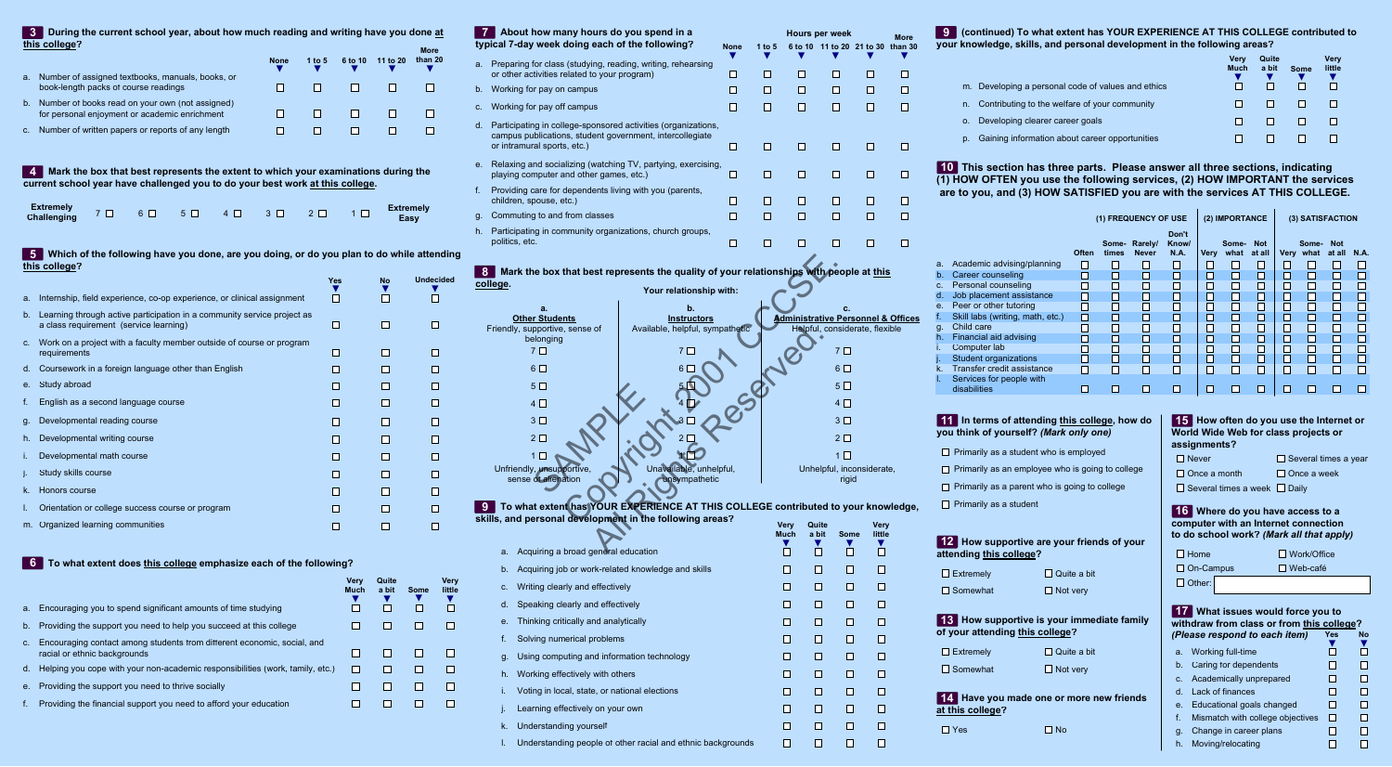| $\mathbf{7}$ | About how many hours do you spend in a<br>typical 7-day week doing each of the following?                                                                |                    | <b>None</b> | 1 to $5$ |             | <b>Hours per week</b><br>6 to 10 11 to 20 21 to 30 than 30 |             | <b>More</b> |
|--------------|----------------------------------------------------------------------------------------------------------------------------------------------------------|--------------------|-------------|----------|-------------|------------------------------------------------------------|-------------|-------------|
| a.           | Preparing for class (studying, reading, writing, rehearsing<br>or other activities related to your program)                                              |                    | □           | □        | □           | ш                                                          | L           | H           |
| b.           | Working for pay on campus                                                                                                                                |                    | □           | П        | □           | H                                                          | H           | H           |
| С.           | Working for pay off campus                                                                                                                               | п                  | П           | □        | ш           | П                                                          |             |             |
| d.           | Participating in college-sponsored activities (organizations,<br>campus publications, student government, intercollegiate<br>or intramural sports, etc.) | ш                  | □           | □        | <b>Tara</b> | H                                                          |             |             |
| $e_{-}$      | Relaxing and socializing (watching TV, partying, exercising,<br>playing computer and other games, etc.)                                                  |                    | □           | О        | □           | ш                                                          | П           |             |
| f.           | Providing care for dependents living with you (parents,<br>children, spouse, etc.)                                                                       |                    | □           | О        | П           | Ш                                                          | H           |             |
| g.           | Commuting to and from classes                                                                                                                            |                    | п           | □        | □           | П                                                          | I.          |             |
| h.           | Participating in community organizations, church groups,<br>politics, etc.                                                                               |                    | □           | □        | □           | □                                                          | I I         | L           |
|              | Mark the box that best represents the quality of your relationships with people at this<br>college.<br>Your relationship with:<br>a.                     | b.                 |             |          |             | c.                                                         |             |             |
|              | <b>Other Students</b>                                                                                                                                    | <b>Instructors</b> |             |          |             | <b>Administrative Personnel &amp; Offices</b>              |             |             |
|              | Available, helpful, sympathetic<br>Friendly, supportive, sense of                                                                                        |                    |             |          |             | Helpful, considerate, flexible                             |             |             |
|              | belonging<br>7 <sub>1</sub><br>7 L I                                                                                                                     |                    |             |          |             | 7 <sub>1</sub>                                             |             |             |
|              | $6\Box$<br>6.                                                                                                                                            |                    |             |          |             | $6\Box$                                                    |             |             |
|              | 5 <sub>0</sub>                                                                                                                                           |                    |             |          |             | 5 <sub>1</sub>                                             |             |             |
|              | $4\Box$                                                                                                                                                  |                    |             |          |             | $4\Box$                                                    |             |             |
|              | 3 <sup>1</sup>                                                                                                                                           |                    |             |          |             | 3 <sup>1</sup>                                             |             |             |
|              | $2\square$                                                                                                                                               |                    |             |          |             | 2 <sub>2</sub>                                             |             |             |
|              | 1 L                                                                                                                                                      |                    |             |          |             | 1 □                                                        |             |             |
|              | Unavailable, unhelpful,<br>Unfriendly, unsupportive,<br>sense of alienation                                                                              | unsympathetic      |             |          |             | Unhelpful, inconsiderate,<br>rigid                         |             |             |
| -9           | To what extent has YOUR EXPERIENCE AT THIS COLLEGE contributed to your knowledge,                                                                        |                    |             |          |             |                                                            |             |             |
|              | skills, and personal development in the following areas?                                                                                                 |                    |             |          | <b>Very</b> | Quite                                                      | Very        |             |
|              |                                                                                                                                                          |                    |             |          | <b>Much</b> | a bit<br><b>Some</b><br>v                                  | little<br>v |             |
|              | a Acquiring a broad general education                                                                                                                    |                    |             |          |             |                                                            |             |             |

#### **To what extent has YOUR EXPERIENCE AT THIS COLLEGE contributed to your knowledge, skills, and personal development in the following areas? 9**

| a.          | <u>example with personal actors property in the following around t</u><br>Acquiring a broad general education | <b>Very</b><br><b>Much</b><br>$\blacksquare$ | Quite<br>a bit<br>$\overline{\phantom{0}}$ | Some | <b>Very</b><br>little |
|-------------|---------------------------------------------------------------------------------------------------------------|----------------------------------------------|--------------------------------------------|------|-----------------------|
|             | b. Acquiring job or work-related knowledge and skills                                                         |                                              |                                            |      |                       |
|             | c. Writing clearly and effectively                                                                            |                                              |                                            |      |                       |
|             | d. Speaking clearly and effectively                                                                           |                                              |                                            |      |                       |
| e.          | Thinking critically and analytically                                                                          |                                              |                                            | Е    | П                     |
|             | Solving numerical problems                                                                                    | $\Box$                                       |                                            | Г    |                       |
|             | g. Using computing and information technology                                                                 | $\Box$                                       |                                            | Г    | $\Box$                |
| $h_{\rm m}$ | Working effectively with others                                                                               |                                              |                                            | ⊏    |                       |
|             | Voting in local, state, or national elections                                                                 |                                              |                                            |      |                       |
|             | Learning effectively on your own                                                                              |                                              |                                            |      | П                     |
| K.          | Understanding yourself                                                                                        |                                              |                                            | Γ    | $\Box$                |
|             | Understanding people of other racial and ethnic backgrounds                                                   | $\Box$                                       |                                            |      |                       |
|             |                                                                                                               |                                              |                                            |      |                       |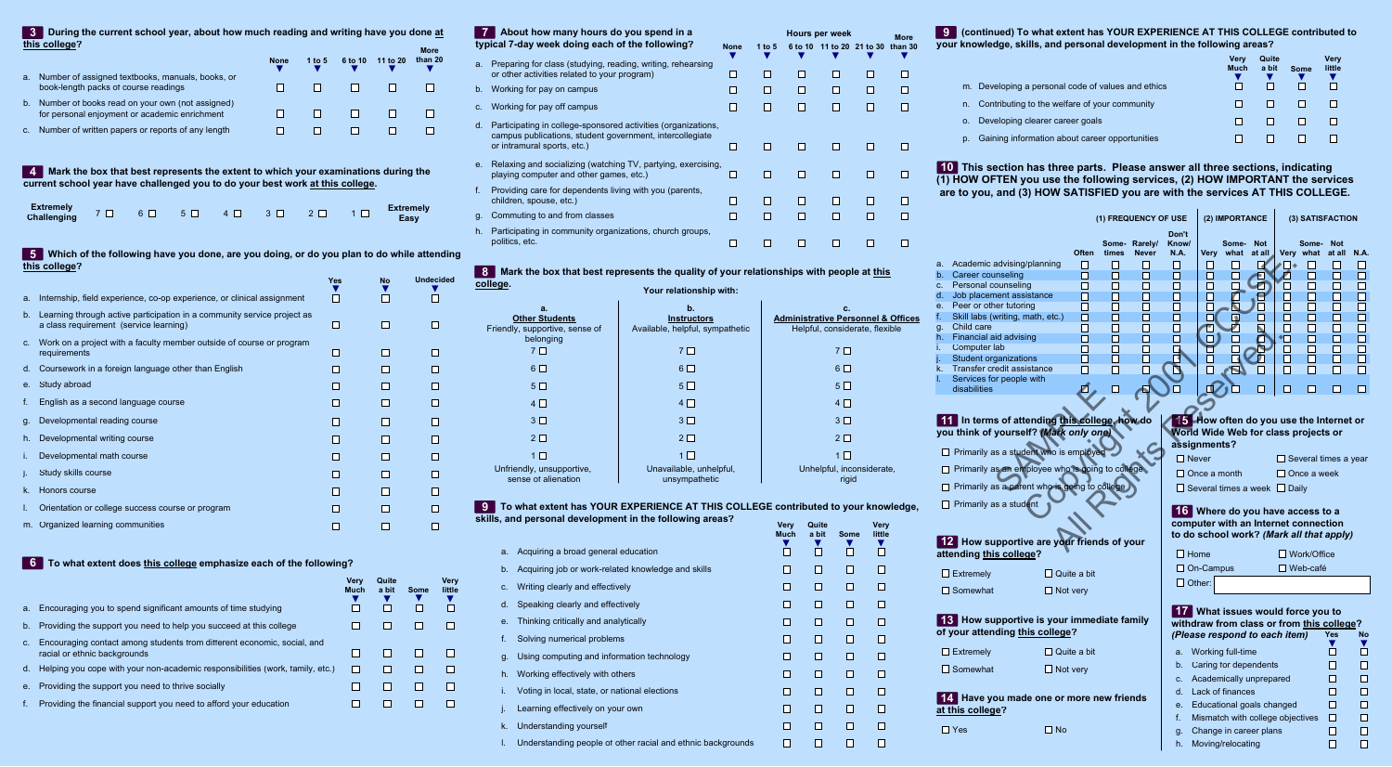## **(continued) To what extent has YOUR EXPERIENCE AT THIS COLLEGE contributed to 9 your knowledge, skills, and personal development in the following areas?**

|            |                                                 | Verv<br><b>Much</b> | Quite<br>a bit | <b>Some</b> | Very<br>little |
|------------|-------------------------------------------------|---------------------|----------------|-------------|----------------|
| m.         | Developing a personal code of values and ethics |                     |                |             |                |
| n.         | Contributing to the welfare of your community   |                     |                |             |                |
| $\Omega$ . | Developing clearer career goals                 |                     |                |             |                |
| D.         | Gaining information about career opportunities  |                     |                |             |                |

# **This section has three parts. Please answer all three sections, indicating 10 (1) HOW OFTEN you use the following services, (2) HOW IMPORTANT the services are to you, and (3) HOW SATISFIED you are with the services AT THIS COLLEGE.**

|          |                                                  |                    | (1) FREQUENCY OF USE |               | (2) IMPORTANCE |                     |                                                                                | (3) SATISFACTION |                          |                             |                  |                   |
|----------|--------------------------------------------------|--------------------|----------------------|---------------|----------------|---------------------|--------------------------------------------------------------------------------|------------------|--------------------------|-----------------------------|------------------|-------------------|
|          |                                                  |                    |                      | Some- Rarely/ | Don't<br>Know/ |                     | Some-                                                                          | <b>Not</b>       |                          | Some-                       | <b>Not</b>       |                   |
|          |                                                  | <b>Often</b>       | times                | <b>Never</b>  | <b>N.A.</b>    | Very                | what                                                                           | at all           |                          | Very what                   | at all           | <b>N.A.</b>       |
| a.       | Academic advising/planning<br>Career counseling  | U                  | $\Box$               | H             | П              | $\Box$              | $\Box$                                                                         |                  | $\overline{\phantom{a}}$ | H                           | H                | ப                 |
| b.       | Personal counseling                              | $\Box$             | П                    | H             | П              | П                   |                                                                                |                  |                          |                             | П                | □                 |
| С.<br>d. | Job placement assistance                         | $\mathsf{L}$<br>□  | П<br>П               | U<br>ш        | П<br>П         | П                   |                                                                                |                  |                          | $\blacksquare$<br>┓         | $\Box$<br>$\Box$ | □<br>□            |
| е.       | Peer or other tutoring                           | $\Box$             | П                    | П             | □              | Г                   |                                                                                |                  | □                        | П                           | П                | $\overline{\Box}$ |
| f.       | Skill labs (writing, math, etc.)                 | П                  | П                    | H             | $\Box$         |                     | $\blacktriangleleft$                                                           | П                | П                        | П                           | П                | $\Box$            |
| g.       | Child care                                       |                    | П                    |               | П              |                     |                                                                                |                  |                          | П                           | П                | $\Box$            |
| h.       | Financial aid advising                           | $\Box$             | П                    | П             | П              |                     |                                                                                |                  | łП                       | П                           | П                | $\Box$            |
| Ĺ.       | Computer lab                                     |                    | $\Box$               | ⊔             |                |                     |                                                                                |                  |                          | $\Box$                      | $\Box$           | $\Box$            |
| j.       | Student organizations                            |                    | П                    | П             |                |                     |                                                                                |                  | □                        | П                           | П                | $\Box$            |
| k.       | Transfer credit assistance                       |                    | П                    |               |                |                     |                                                                                |                  | П                        | П                           | П                | П                 |
| T.       | Services for people with                         |                    |                      |               |                |                     |                                                                                |                  |                          |                             |                  |                   |
|          | disabilities                                     |                    |                      |               |                |                     |                                                                                |                  | $\mathsf{L}$             | П                           | ГI               | П                 |
|          |                                                  |                    |                      |               |                |                     |                                                                                |                  |                          |                             |                  |                   |
|          | In terms of attending this college, how do       |                    |                      |               |                |                     | 15 How often do you use the Internet or                                        |                  |                          |                             |                  |                   |
|          | you think of yourself? (Mark only one)           |                    |                      |               | assignments?   |                     | World Wide Web for class projects or                                           |                  |                          |                             |                  |                   |
|          | Primarily as a student who is employed           |                    |                      |               | $\Box$ Never   |                     |                                                                                |                  |                          | $\Box$ Several times a year |                  |                   |
|          | Primarily as an employee who is going to college |                    |                      |               |                | $\Box$ Once a month |                                                                                |                  |                          | $\Box$ Once a week          |                  |                   |
|          | Primarily as a parent who is going to college    |                    |                      |               |                |                     | $\Box$ Several times a week $\Box$ Daily                                       |                  |                          |                             |                  |                   |
|          | Primarily as a student                           |                    |                      |               |                |                     | 16 Where do you have access to a                                               |                  |                          |                             |                  |                   |
|          |                                                  |                    |                      |               |                |                     | computer with an Internet connection                                           |                  |                          |                             |                  |                   |
|          | 12 How supportive are your friends of your       |                    |                      |               |                |                     | to do school work? (Mark all that apply)                                       |                  |                          |                             |                  |                   |
|          | attending this college?                          |                    |                      |               | $\Box$ Home    |                     |                                                                                |                  |                          | $\Box$ Work/Office          |                  |                   |
|          | Extremely                                        | $\Box$ Quite a bit |                      |               |                | $\Box$ On-Campus    |                                                                                |                  |                          | $\Box$ Web-café             |                  |                   |
|          | Somewhat<br>$\Box$ Not very                      |                    |                      |               | $\Box$ Other:  |                     |                                                                                |                  |                          |                             |                  |                   |
|          |                                                  |                    |                      |               |                |                     |                                                                                |                  |                          |                             |                  |                   |
|          | 13 How supportive is your immediate family       |                    |                      |               |                |                     | 17 What issues would force you to<br>withdraw from class or from this college? |                  |                          |                             |                  |                   |
|          | of your attending this college?                  |                    |                      |               |                |                     | (Please respond to each item)                                                  |                  |                          |                             | Yes              | <b>No</b>         |
|          | Extremely                                        | Quite a bit        |                      |               | a.             |                     | Working full-time                                                              |                  |                          |                             | □                | □                 |
|          | Somewhat<br>$\Box$ Not very                      |                    |                      |               | b.             |                     | Caring for dependents                                                          |                  |                          |                             | $\Box$           | □                 |
|          |                                                  |                    |                      |               | C.             |                     | Academically unprepared                                                        |                  |                          |                             | □                | □                 |
|          | 14 Have you made one or more new friends         |                    |                      |               | d.             |                     | Lack of finances                                                               |                  |                          |                             | □                | ப                 |
|          |                                                  |                    |                      |               | е.             |                     | Educational goals changed                                                      |                  |                          |                             | □                | ப                 |
|          | at this college?                                 |                    |                      |               | f.             |                     | Mismatch with college objectives                                               |                  |                          |                             | □                | □                 |
|          | $\Box$ Yes<br>$\Box$ No                          |                    |                      |               | g.             |                     | Change in career plans                                                         |                  |                          |                             | □                | ப                 |
|          |                                                  |                    |                      |               |                |                     |                                                                                |                  |                          |                             |                  |                   |
|          |                                                  |                    |                      |               | h.             |                     | Moving/relocating                                                              |                  |                          |                             | □                | □                 |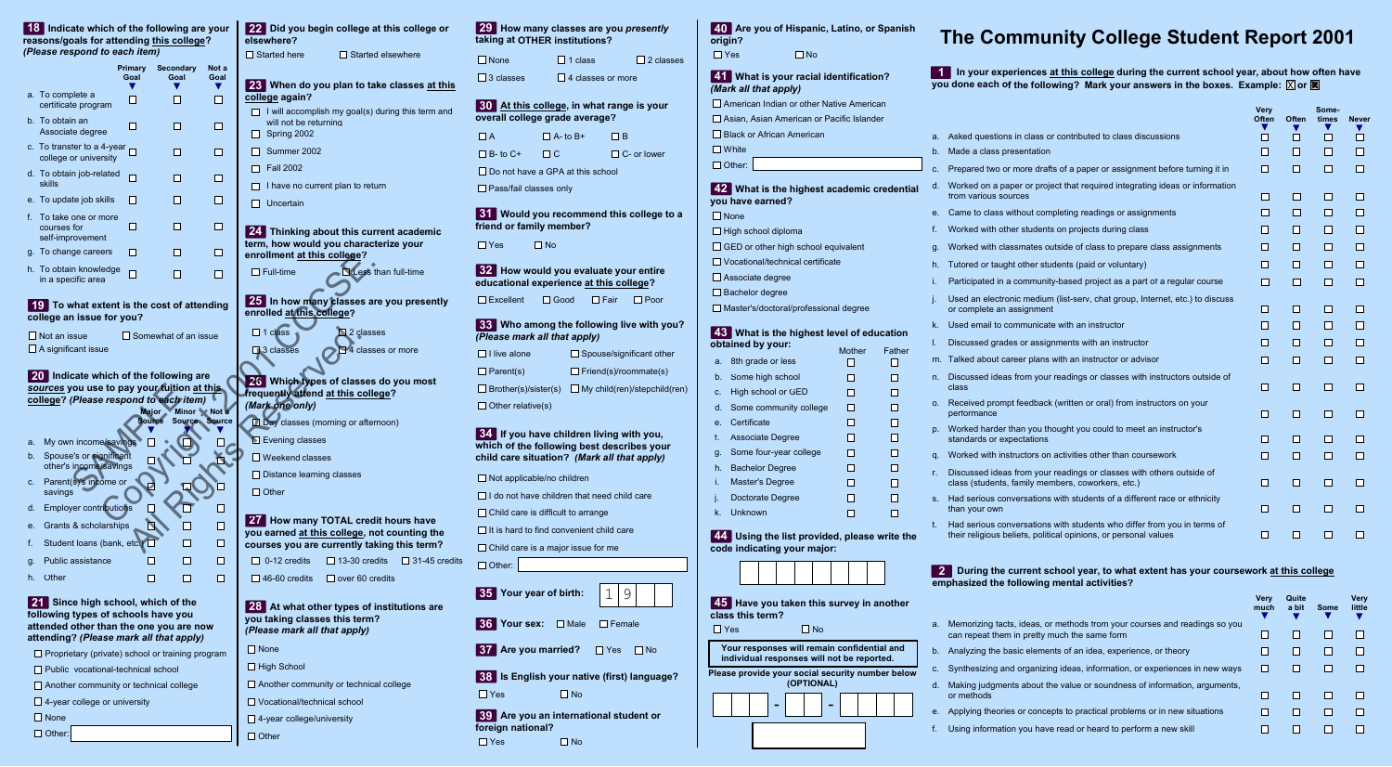|                | reasons/goals for attending this college?<br>(Please respond to each item)                                                      |                        |                               |                              | elsewhere?<br><b>□ Started here</b><br>□ Started elsewhere                                                                                                                      |
|----------------|---------------------------------------------------------------------------------------------------------------------------------|------------------------|-------------------------------|------------------------------|---------------------------------------------------------------------------------------------------------------------------------------------------------------------------------|
|                |                                                                                                                                 | <b>Primary</b><br>Goal | <b>Secondary</b><br>Goal      | Not a<br>Goal                |                                                                                                                                                                                 |
|                | a. To complete a<br>certificate program                                                                                         | ⊔                      | I.                            | v<br>П                       | 23 When do you plan to take classes at this<br>college again?<br>$\Box$ I will accomplish my goal(s) during this term and                                                       |
|                | b. To obtain an<br>Associate degree                                                                                             | $\Box$                 | U                             | П                            | will not be returning<br>$\Box$ Spring 2002                                                                                                                                     |
|                | c. To transfer to a 4-year<br>college or university                                                                             |                        | H                             | П                            | □ Summer 2002                                                                                                                                                                   |
|                | d. To obtain job-related<br>skills                                                                                              | □                      | H                             | П                            | <b>Fall 2002</b><br>I I<br>I have no current plan to return                                                                                                                     |
|                | e. To update job skills                                                                                                         | <b>COL</b>             | П                             | П                            | Uncertain<br>I I                                                                                                                                                                |
|                | f. To take one or more<br>courses for<br>self-improvement                                                                       | □                      | П                             | О                            | 24 Thinking about this current academic                                                                                                                                         |
|                | g. To change careers                                                                                                            | I.                     | H                             | n                            | term, how would you characterize your<br>enrollment at this college?                                                                                                            |
|                | h. To obtain knowledge<br>in a specific area                                                                                    | П                      | П                             | П                            | $\Box$ Full-time<br>Less than full-time                                                                                                                                         |
|                | 19 To what extent is the cost of attending<br>college an issue for you?<br>$\square$ Not an issue<br>$\Box$ A significant issue |                        | $\Box$ Somewhat of an issue   |                              | enrolled at this college?<br>$\Box$ 1 class<br>2 classes                                                                                                                        |
|                | 20 Indicate which of the following are<br>sources you use to pay your tuition at this<br>college? (Please respond to each item) |                        | <b>Major</b><br><b>Source</b> | Minor Not a<br>Source Source | □ 3 classes<br>4 classes or more<br>26 Which types of classes do you most<br>frequently attend at this college?<br>(Mark one only)<br><b>Day</b> classes (morning or afternoon) |
| a.<br>b.<br>C. | My own income/savings<br>Spouse's or significant<br>other's income/savings<br>Parent(s)'s income or<br>savings                  |                        |                               |                              | Evening classes<br>$\Box$ Weekend classes<br>$\Box$ Distance learning classes<br>$\Box$ Other                                                                                   |
| d.<br>е.<br>f. | <b>Employer contributions</b><br>Grants & scholarships<br>Student loans (bank, etc.)                                            |                        | Ш                             | □<br>□                       | 27 How many TOTAL credit hours have<br>you earned at this college, not counting the<br>courses you are currently taking this term?                                              |
| g.             | Public assistance                                                                                                               |                        | П                             | □                            | $\Box$ 0-12 credits<br>$\Box$ 13-30 credits<br>$\Box$ 31-45 credits                                                                                                             |
| h.             | Other<br>21 Since high school, which of the<br>following types of schools have you<br>attended other than the one you are now   |                        | П                             | □                            | $\Box$ 46-60 credits<br>$\Box$ over 60 credits<br>28 At what other types of institutions are<br>you taking classes this term?<br>(Please mark all that apply)                   |
|                | attending? (Please mark all that apply)                                                                                         |                        |                               |                              | $\Box$ None                                                                                                                                                                     |
|                | $\Box$ Proprietary (private) school or training program                                                                         |                        |                               |                              | $\Box$ High School                                                                                                                                                              |
|                | $\Box$ Public vocational-technical school<br>$\Box$ Another community or technical college                                      |                        |                               |                              | $\Box$ Another community or technical college                                                                                                                                   |
|                | $\Box$ 4-year college or university                                                                                             |                        |                               |                              | $\Box$ Vocational/technical school                                                                                                                                              |
|                | $\Box$ None                                                                                                                     |                        |                               |                              | $\Box$ 4-year college/university                                                                                                                                                |
|                | $\Box$ Other:                                                                                                                   |                        |                               |                              | $\Box$ Other                                                                                                                                                                    |